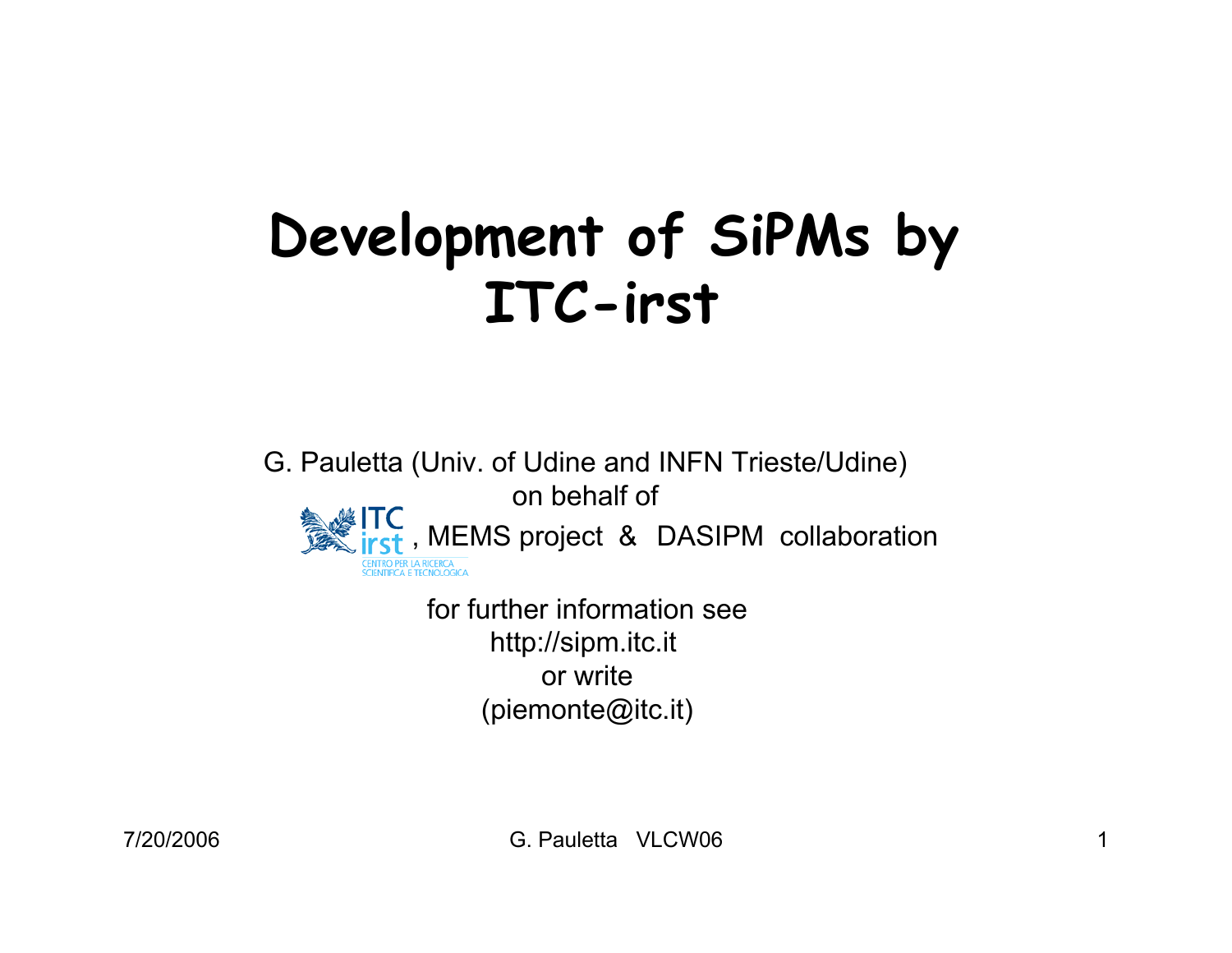# **Development of SiPMs by ITC-irst**

G. Pauletta (Univ. of Udine and INFN Trieste/Udine) on behalf of, MEMS project & DASIPM collaborationcentro per la ricerca<br>Scientifica e tecnologic

> for further information seehttp://sipm.itc.it or write(piemonte@itc.it)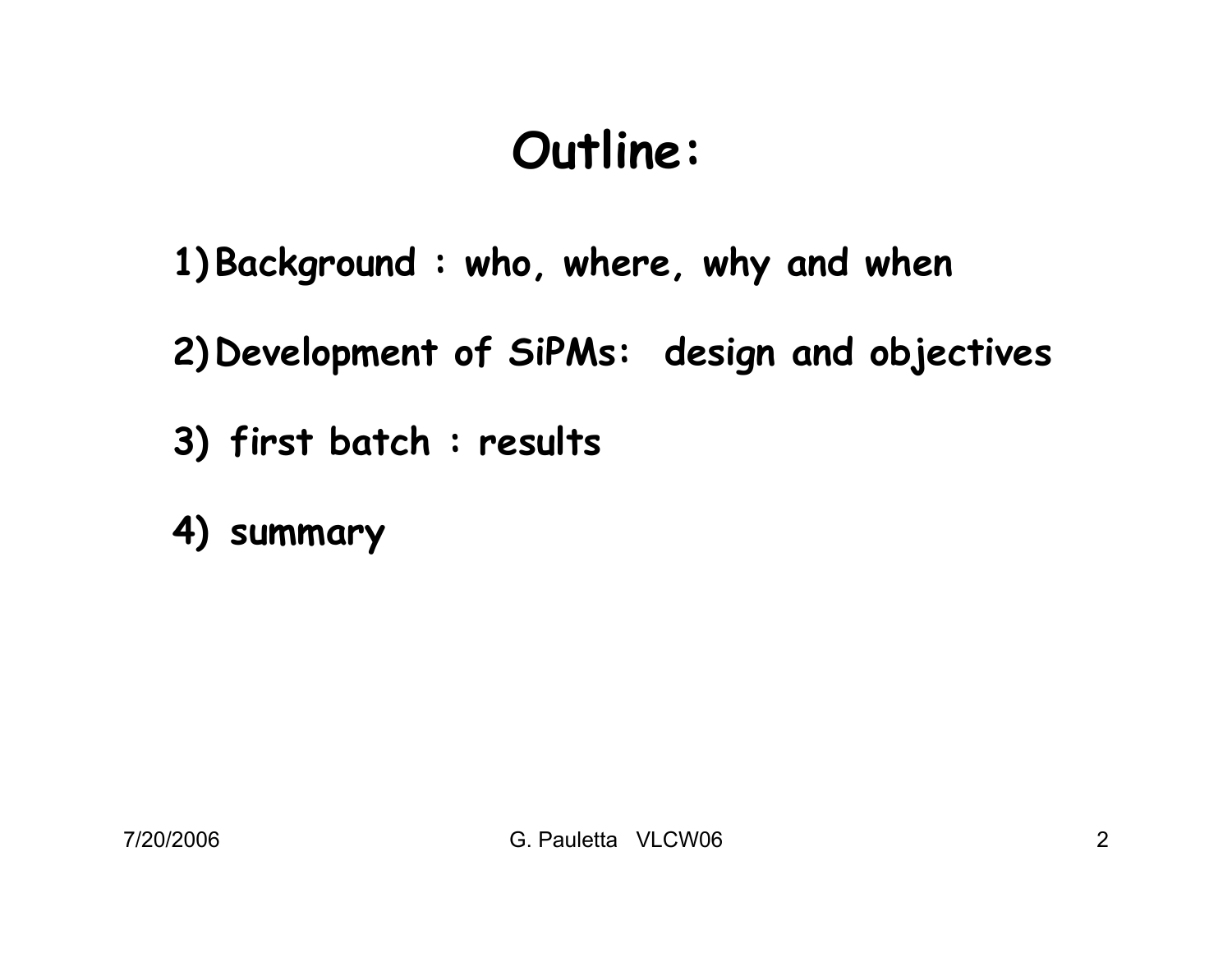# **Outline:**

**1) Background : who, where, why and when**

**2) Development of SiPMs: design and objectives**

- **3) first batch : results**
- **4) summary**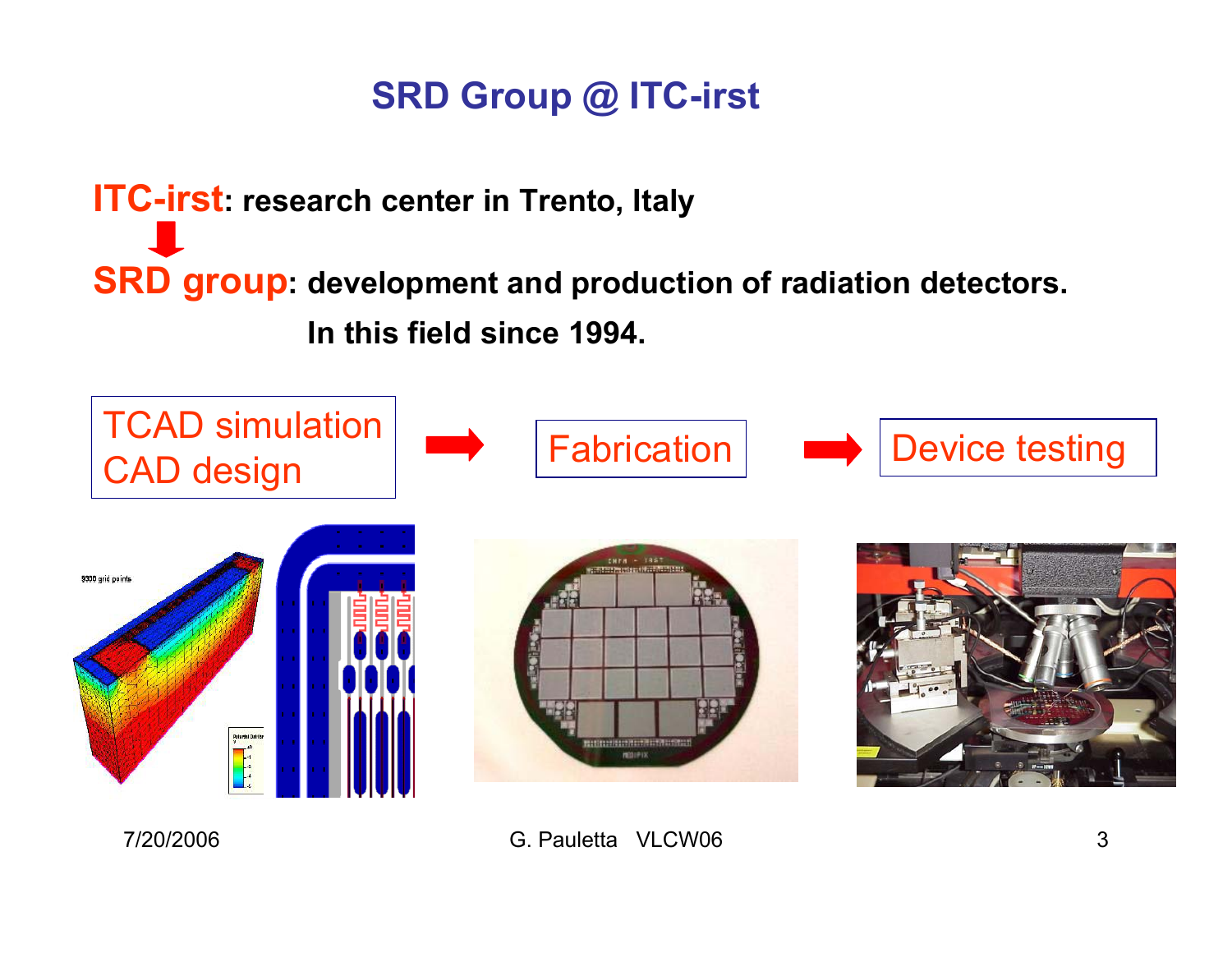# **SRD Group @ ITC-irst**

**ITC-irst: research center in Trento, Italy SRD group: development and production of radiation detectors. In this field since 1994.**

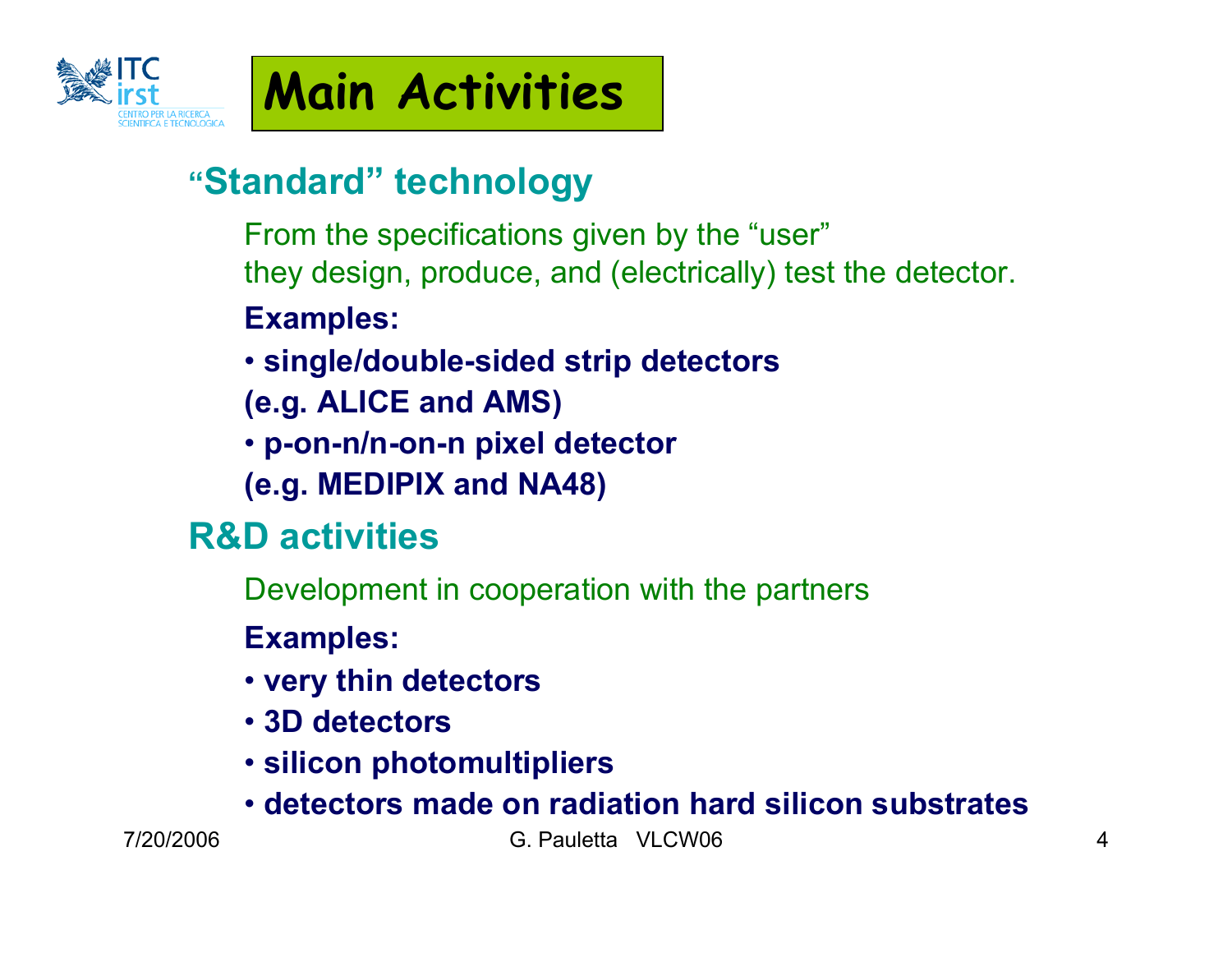

# **Main Activities**

# **"Standard" technology**

- From the specifications given by the "user" they design, produce, and (electrically) test the detector.
- **Examples:**
- **single/double-sided strip detectors**
- **(e.g. ALICE and AMS)**
- **p-on-n/n-on-n pixel detector**
- **(e.g. MEDIPIX and NA48)**

# **R&D activities**

- Development in cooperation with the partners
- **Examples:**
- **very thin detectors**
- **3D detectors**
- **silicon photomultipliers**
- **detectors made on radiation hard silicon substrates**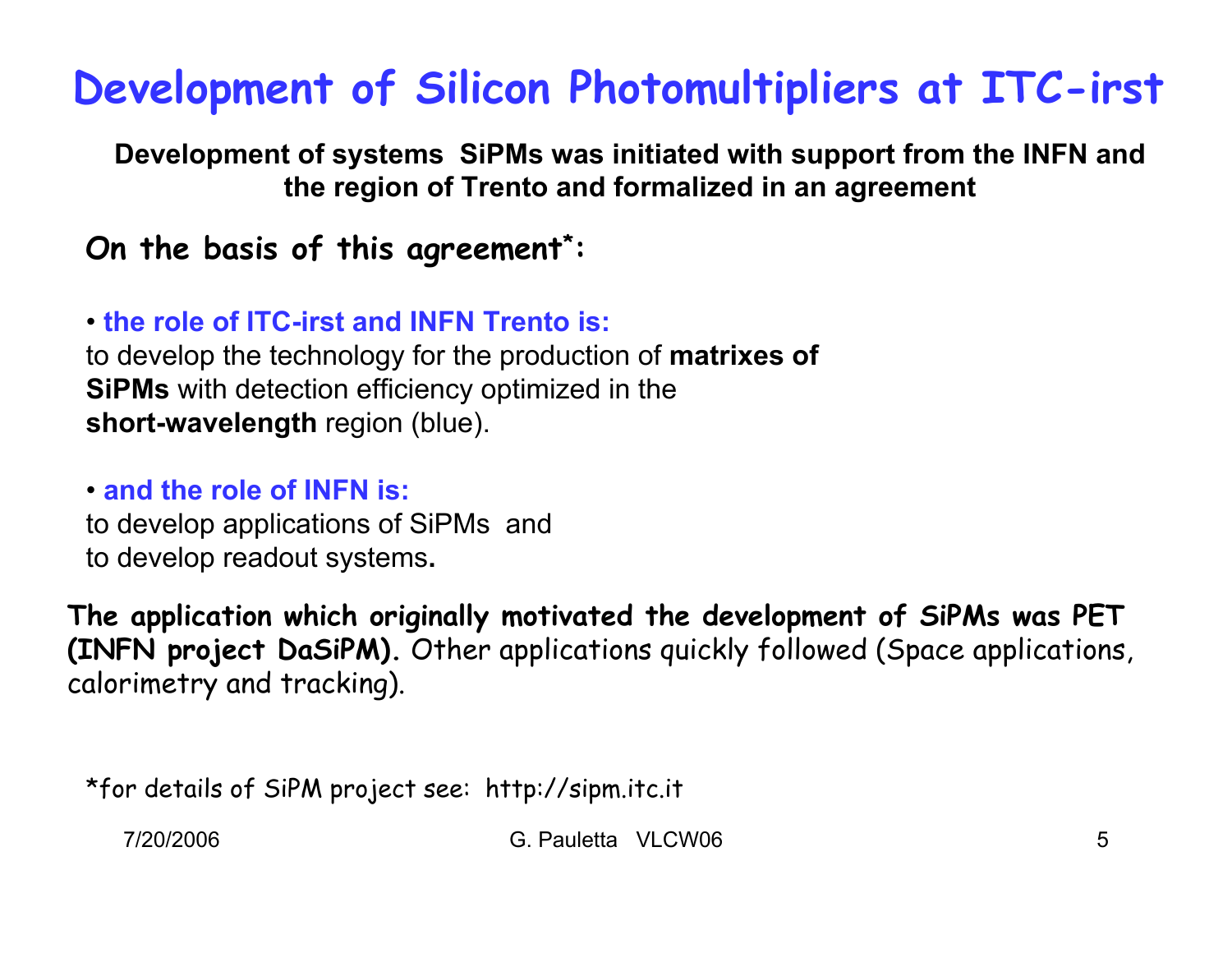# **Development of Silicon Photomultipliers at ITC-irst**

**Development of systems SiPMs was initiated with support from the INFN and the region of Trento and formalized in an agreement**

#### **On the basis of this agreement \*:**

#### • **the role of ITC-irst and INFN Trento is:**

to develop the technology for the production of **matrixes of SiPMs** with detection efficiency optimized in the **short-wavelength** region (blue).

#### • **and the role of INFN is:**

to develop applications of SiPMs and to develop readout systems**.**

**The application which originally motivated the development of SiPMs was PET (INFN project DaSiPM).** Other applications quickly followed (Space applications, calorimetry and tracking).

\*for details of SiPM project see: http://sipm.itc.it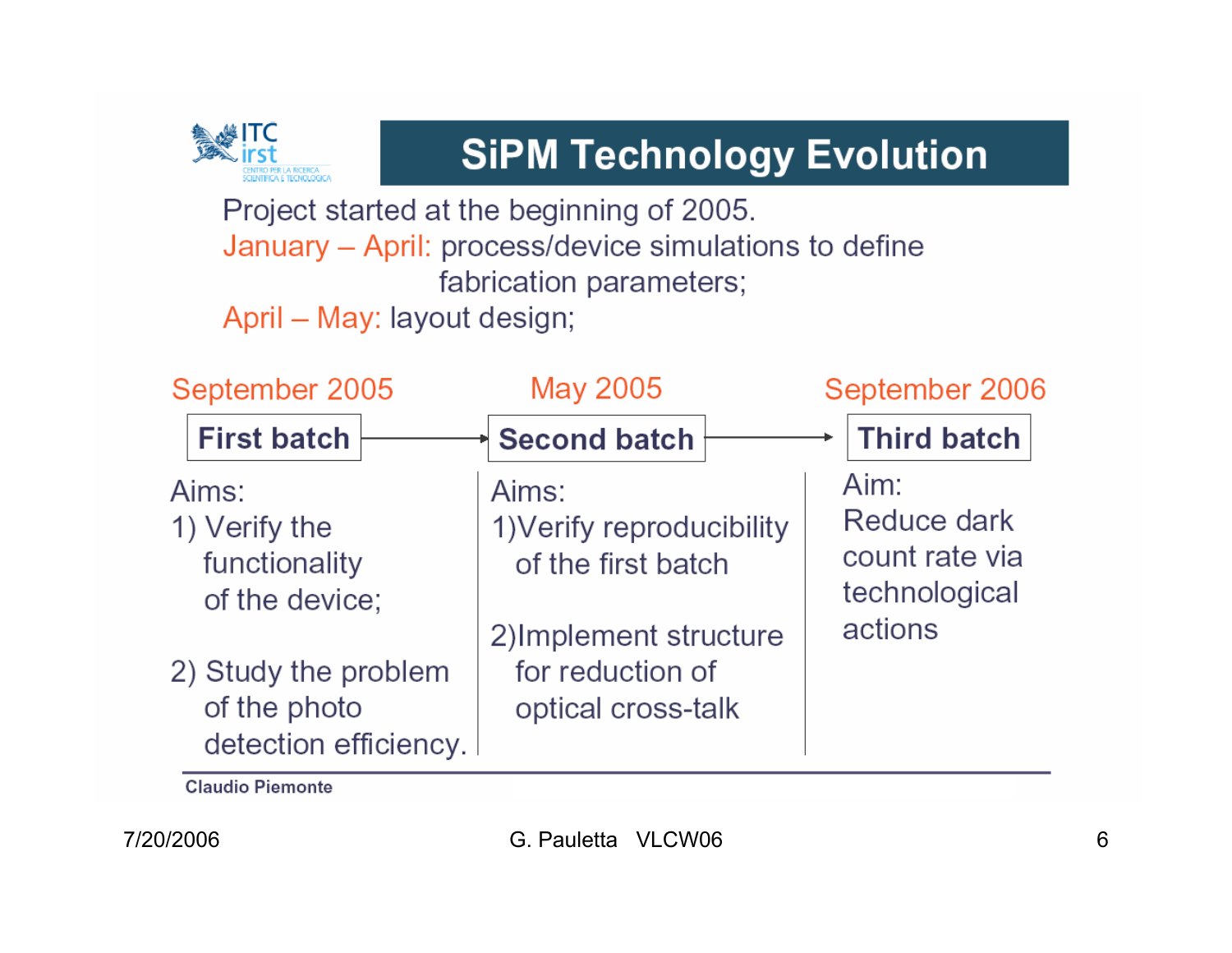

# **SiPM Technology Evolution**

Project started at the beginning of 2005. January - April: process/device simulations to define fabrication parameters;

April - May: layout design;

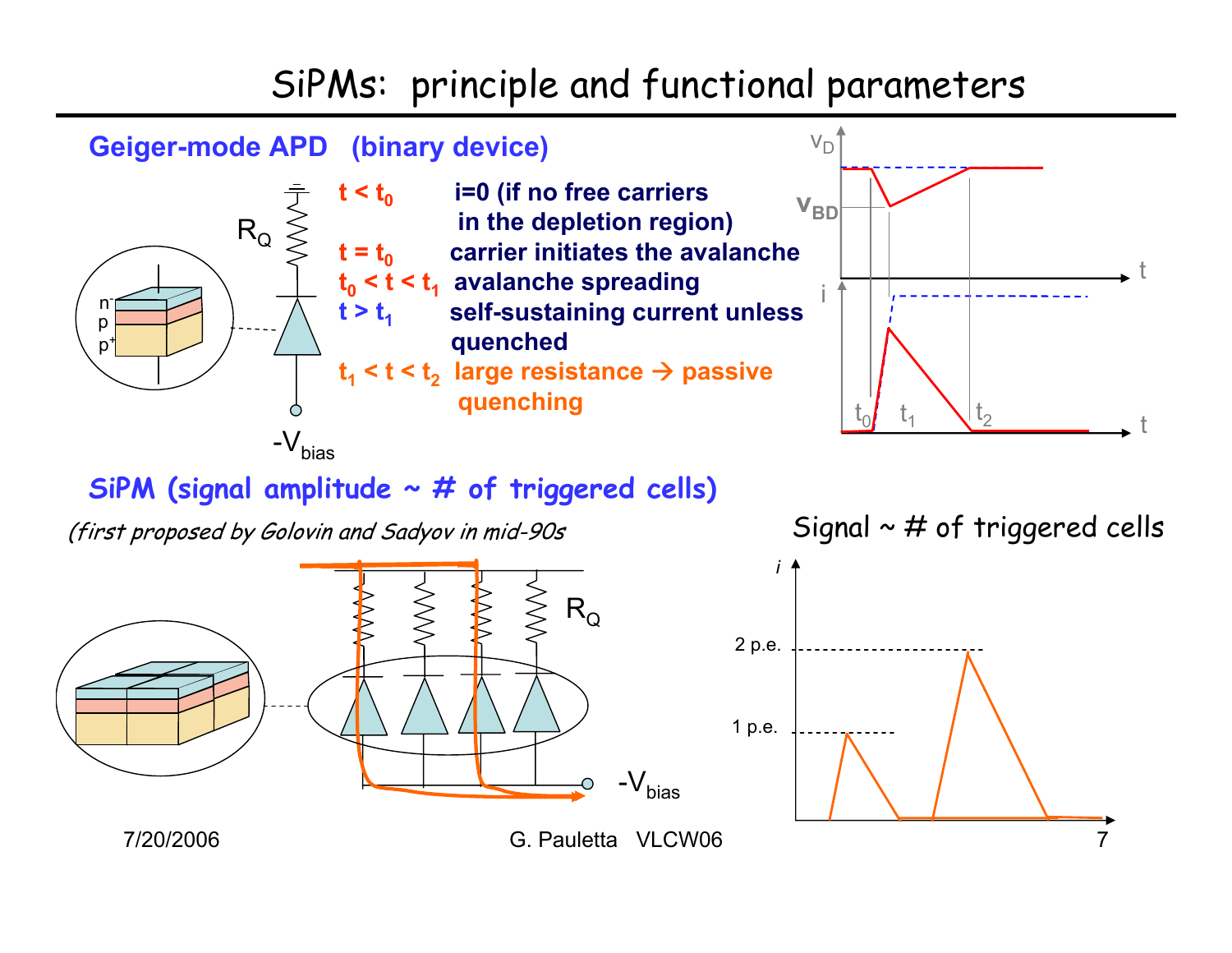## SiPMs: principle and functional parameters



#### **SiPM (signal amplitude ~ # of triggered cells)**

(first proposed by Golovin and Sadyov in mid-90s Signal  $\sim$  # of triggered cells

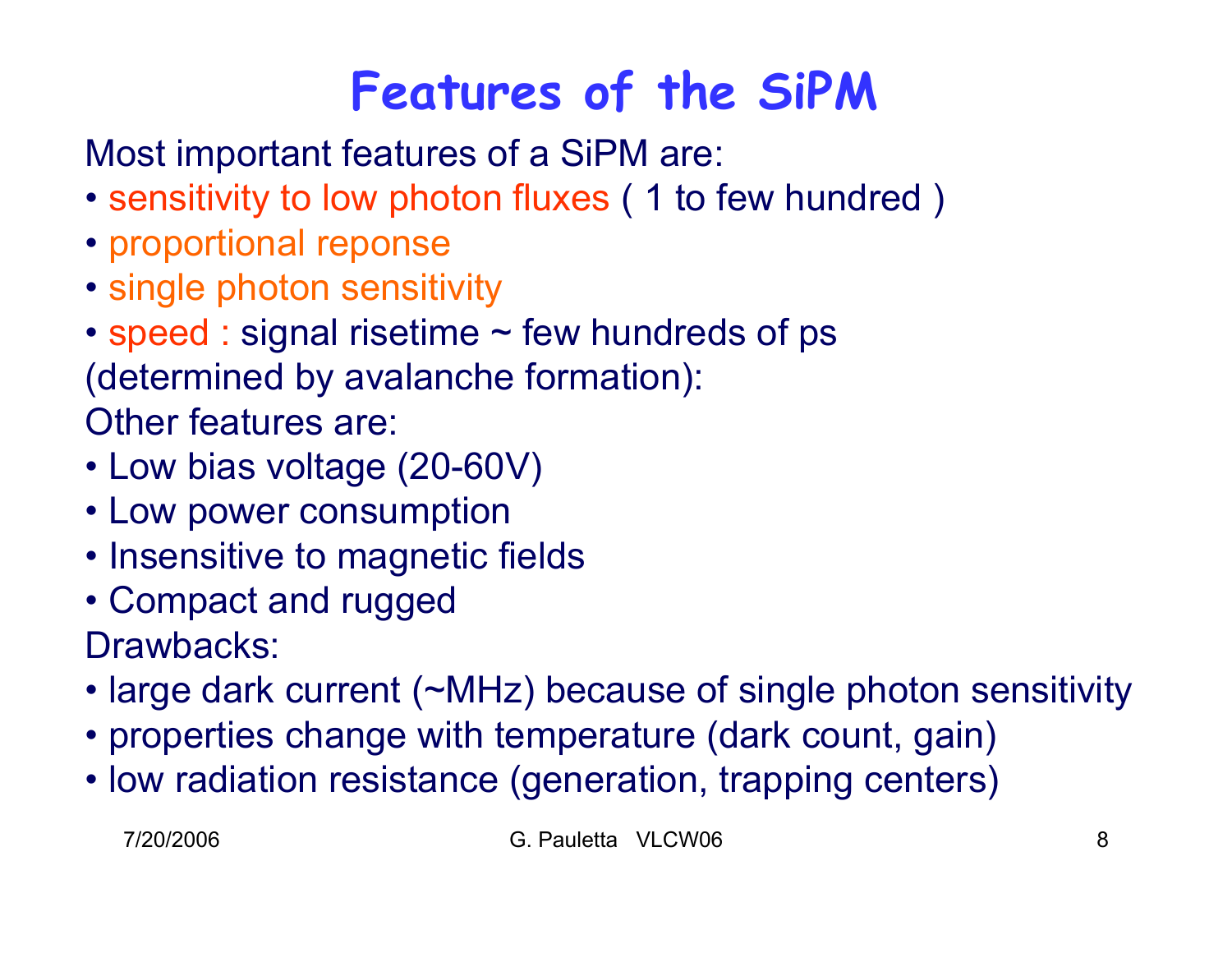# **Features of the SiPM**

Most important features of a SiPM are:

- sensitivity to low photon fluxes ( 1 to few hundred )
- proportional reponse
- single photon sensitivity
- speed : signal risetime ~ few hundreds of ps (determined by avalanche formation): Other features are:
- Low bias voltage (20-60V)
- Low power consumption
- Insensitive to magnetic fields
- Compact and rugged Drawbacks:
- large dark current (~MHz) because of single photon sensitivity
- properties change with temperature (dark count, gain)
- low radiation resistance (generation, trapping centers)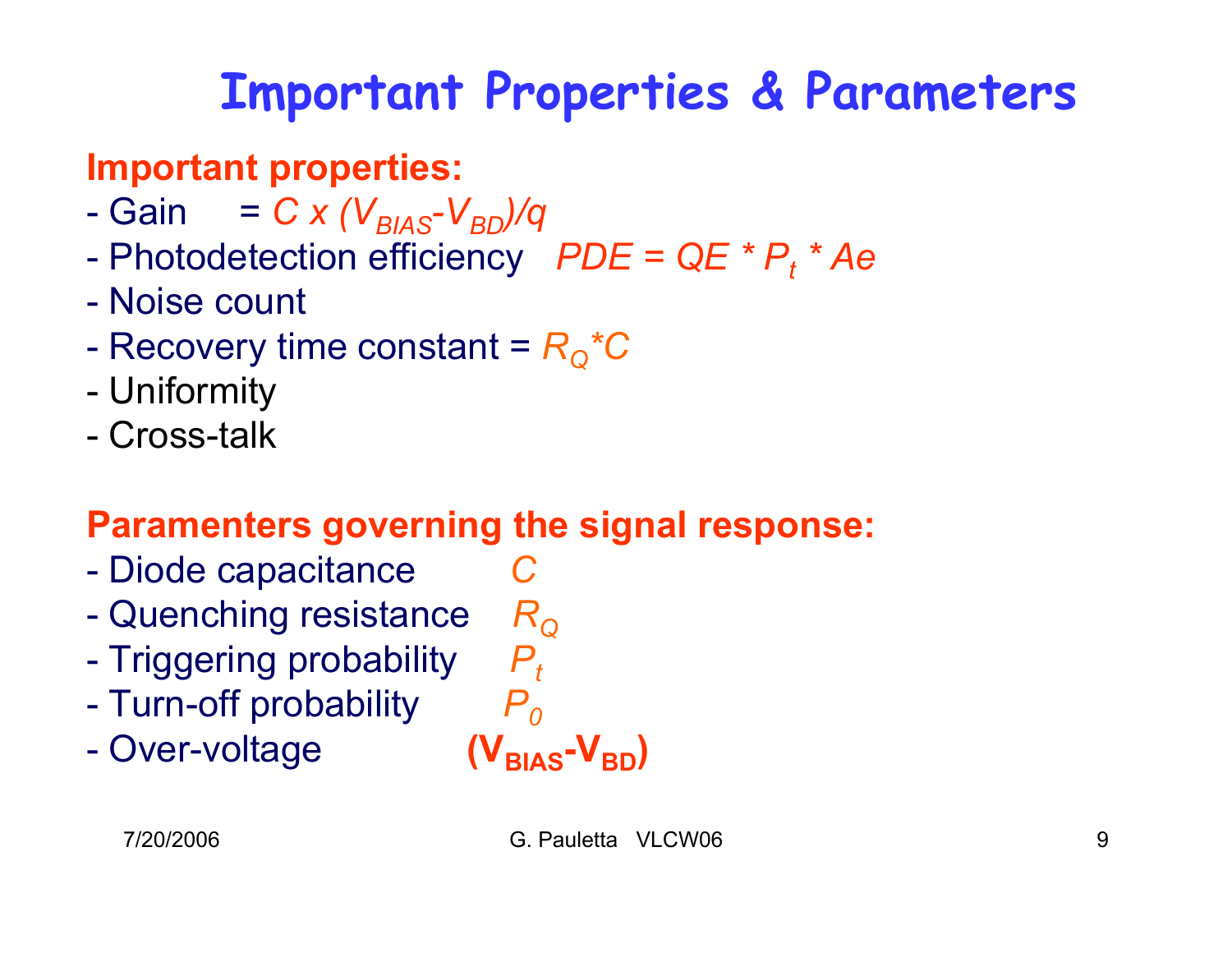### **Important parameters Important Properties & Parameters**

# **Important properties:**

- -Gain =  $C x (V_{BIAS} - V_{BD})/q$
- $\mathcal{L}_{\mathcal{A}}$ Photodetection efficiency  $PDE = QE * P_t * Ae$
- Noise count
- -Recovery time constant =  $R_{\text{Q}}$ <sup>\*</sup>C
- -Uniformity
- Cross-talk

# **Paramenters governing the signal response:**

- $\mathcal{L}_{\mathcal{A}}$  -size  $\mathcal{L}_{\mathcal{A}}$  and  $\mathcal{L}_{\mathcal{A}}$  and  $\mathcal{L}_{\mathcal{A}}$  Diode capacitance *C*
- -Quenching resistance *R Q*
- $\mathcal{L}_{\mathcal{A}}$  Triggering probability  $P_{t}$
- $\mathcal{L}_{\mathcal{A}}$  -size  $\mathcal{L}_{\mathcal{A}}$  and  $\mathcal{L}_{\mathcal{A}}$  and  $\mathcal{L}_{\mathcal{A}}$ Turn-off probability *P 0*
- -Over-voltage **(V<sub>BIAS</sub>-V<sub>BD</sub>)**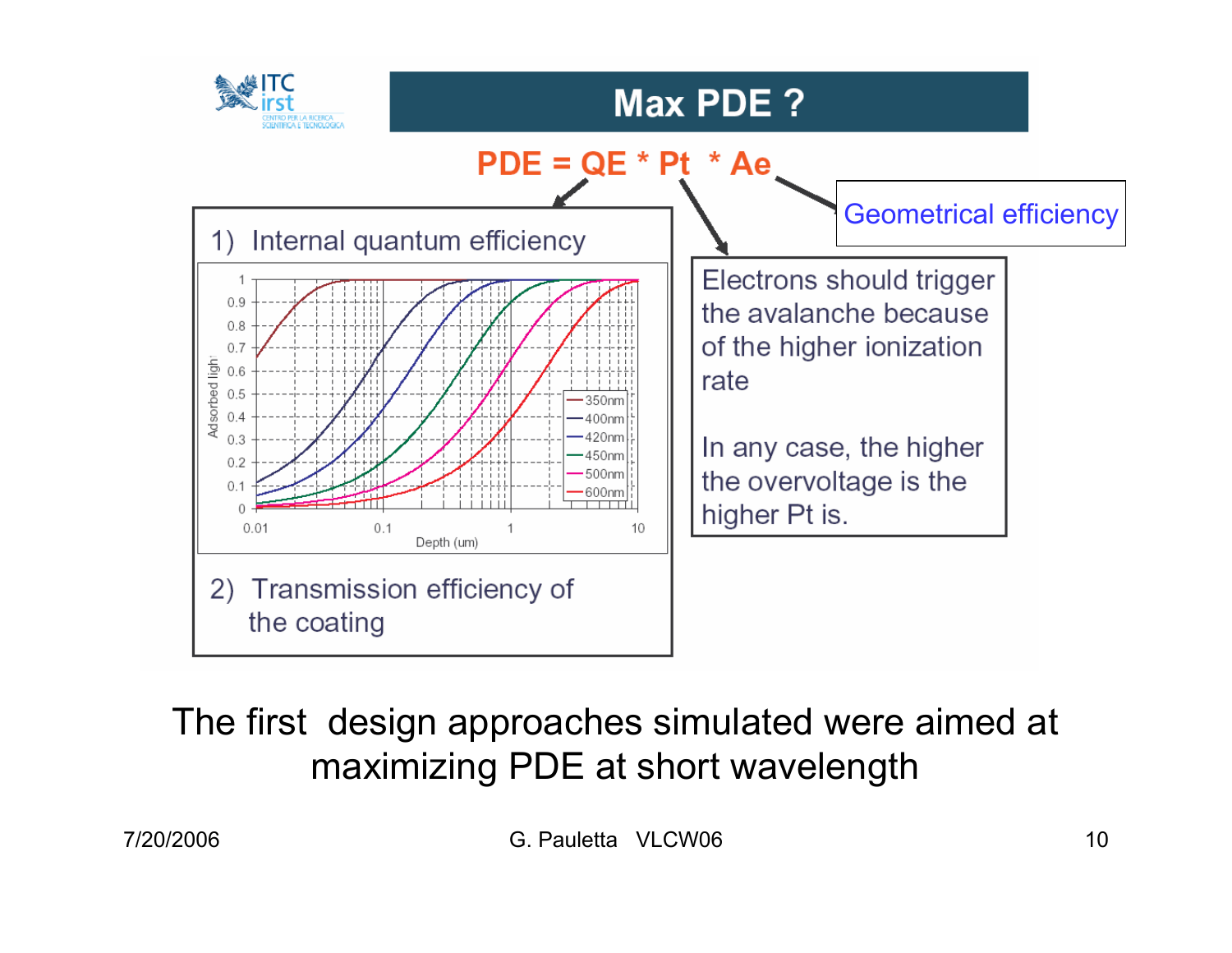

## The first design approaches simulated were aimed at maximizing PDE at short wavelength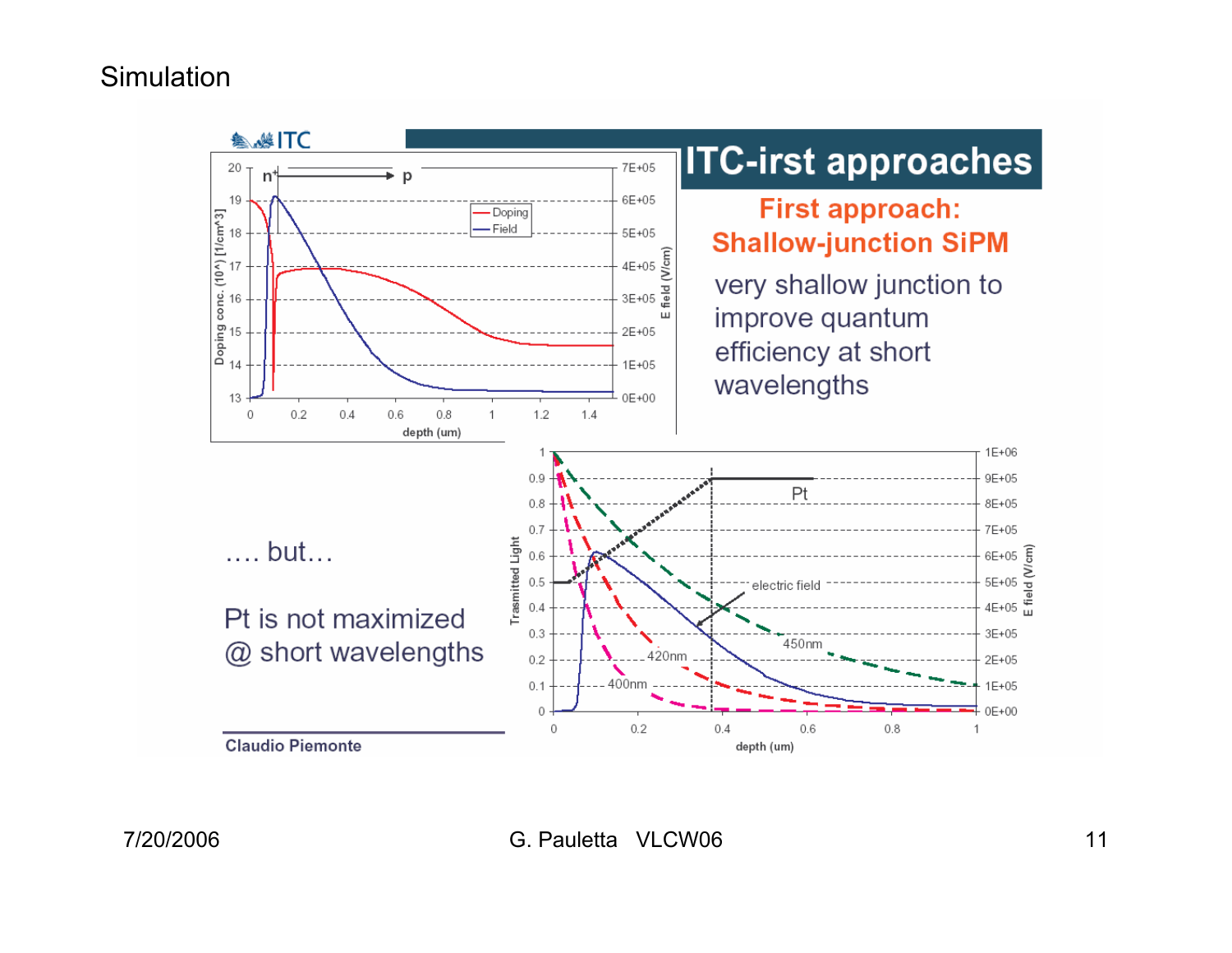#### **Simulation**

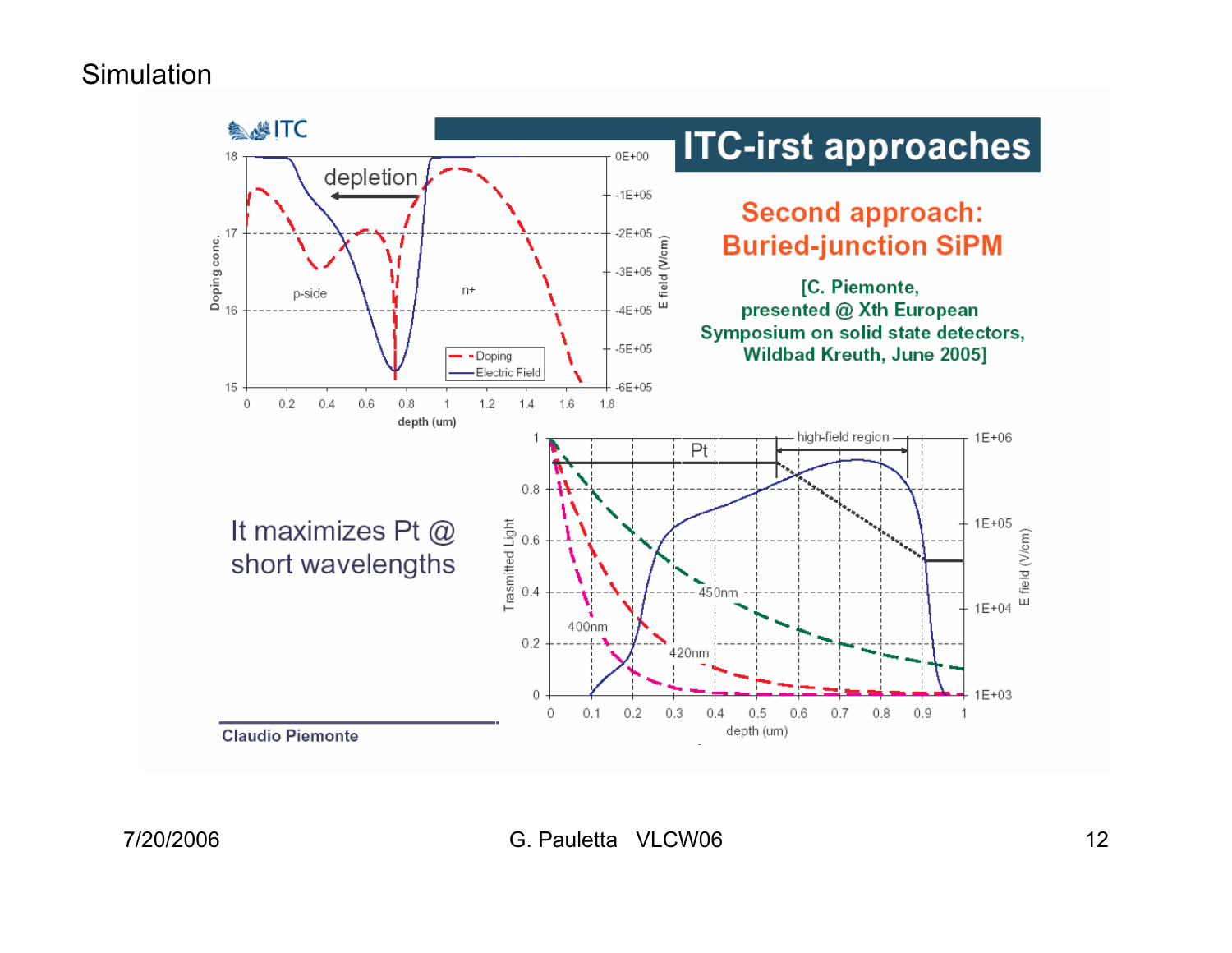#### **Simulation**

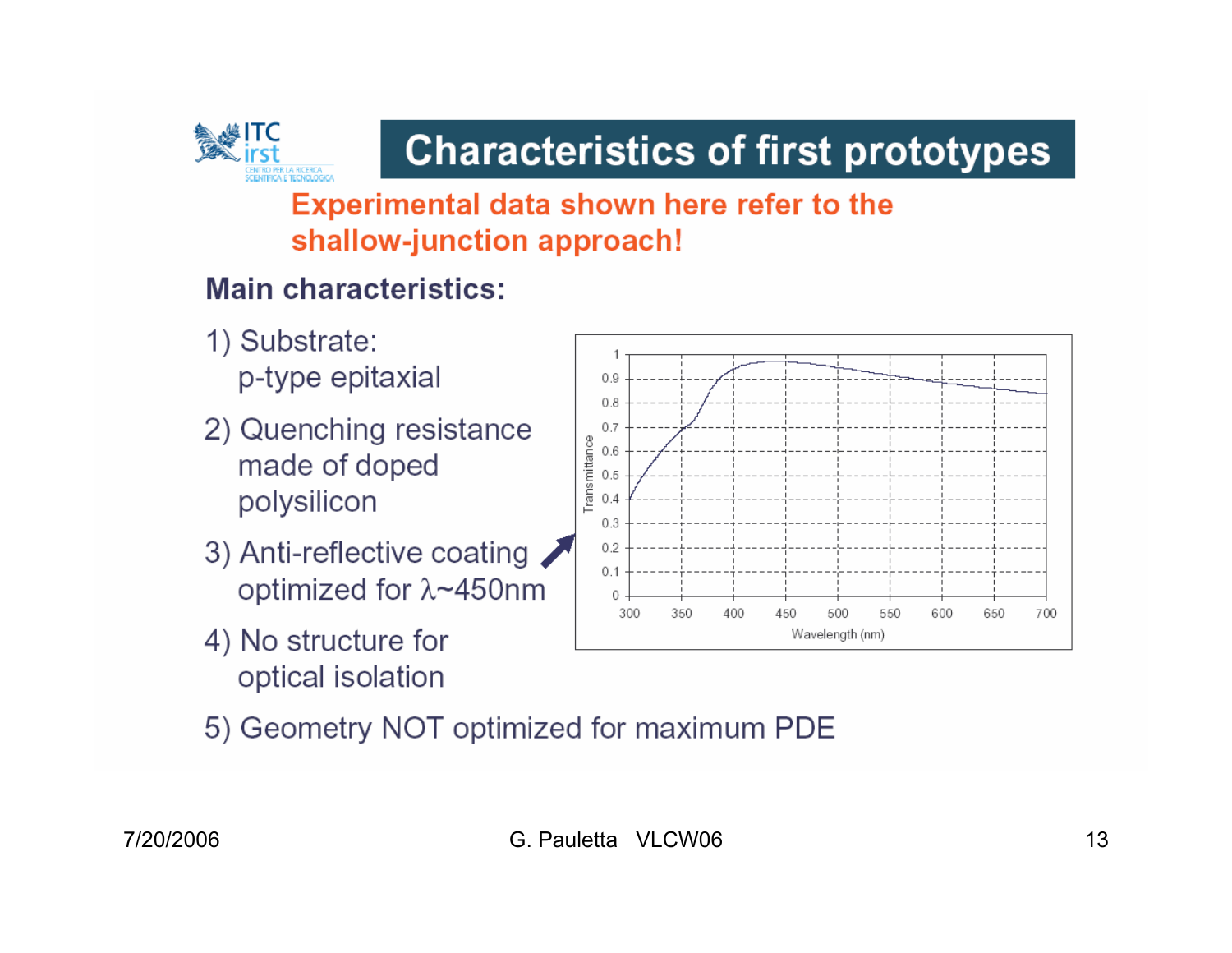

**Experimental data shown here refer to the** shallow-junction approach!

### **Main characteristics:**

- 1) Substrate: p-type epitaxial
- 2) Quenching resistance made of doped polysilicon
- 3) Anti-reflective coating optimized for  $\lambda$ ~450nm
- 4) No structure for optical isolation



5) Geometry NOT optimized for maximum PDE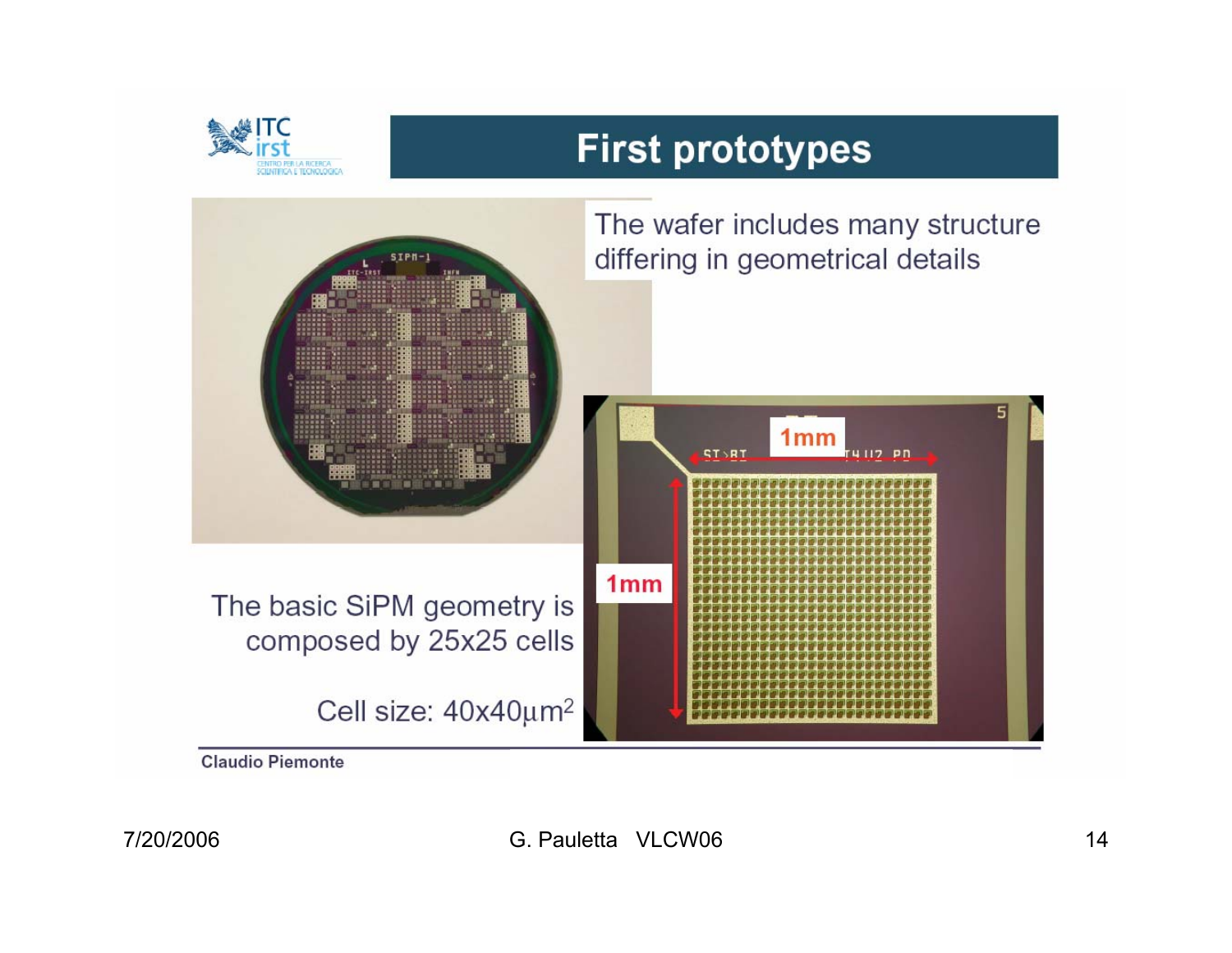

## **First prototypes**



**Claudio Piemonte**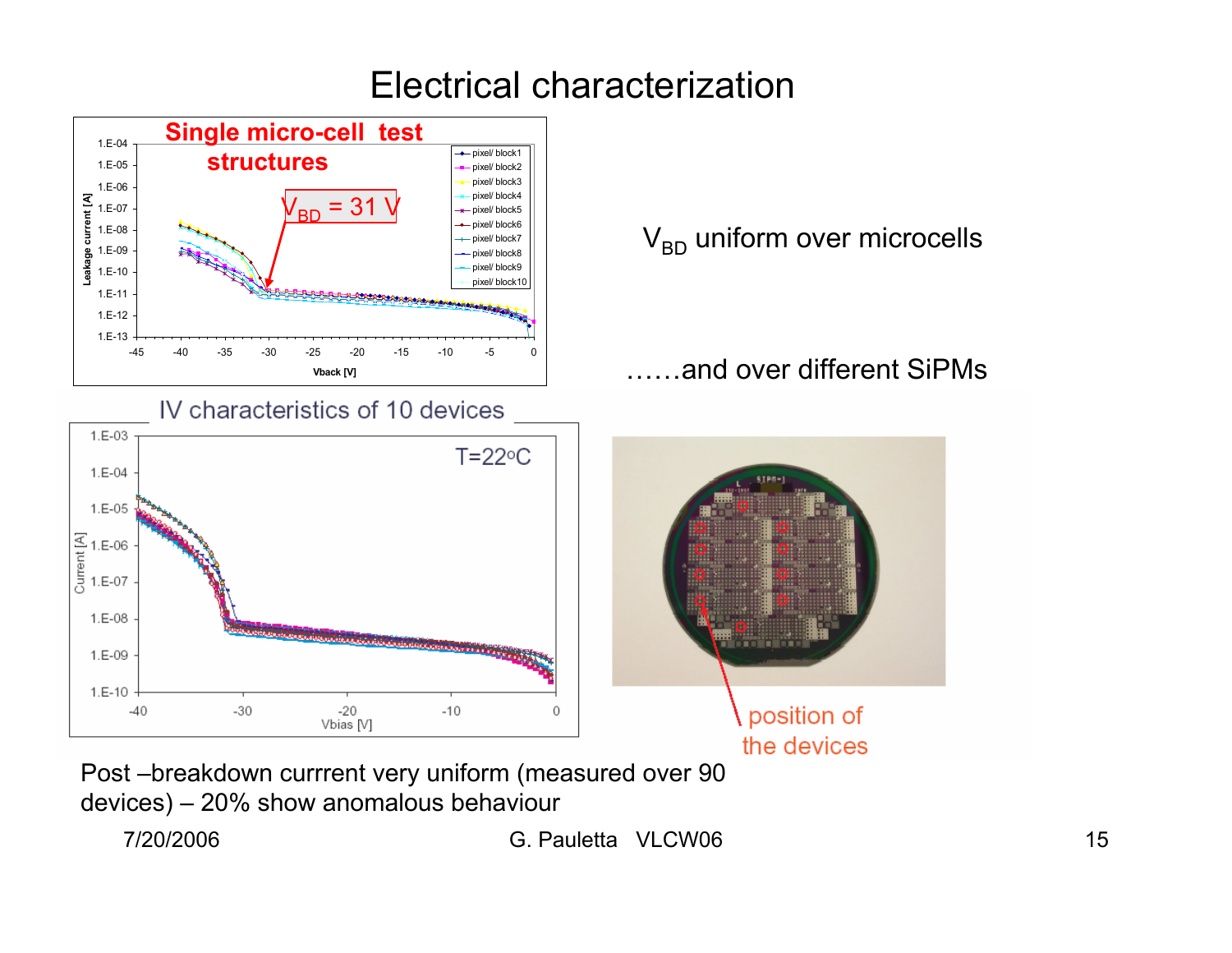### Electrical characterization



Post –breakdown currrent very uniform (measured over 90 devices) – 20% show anomalous behaviour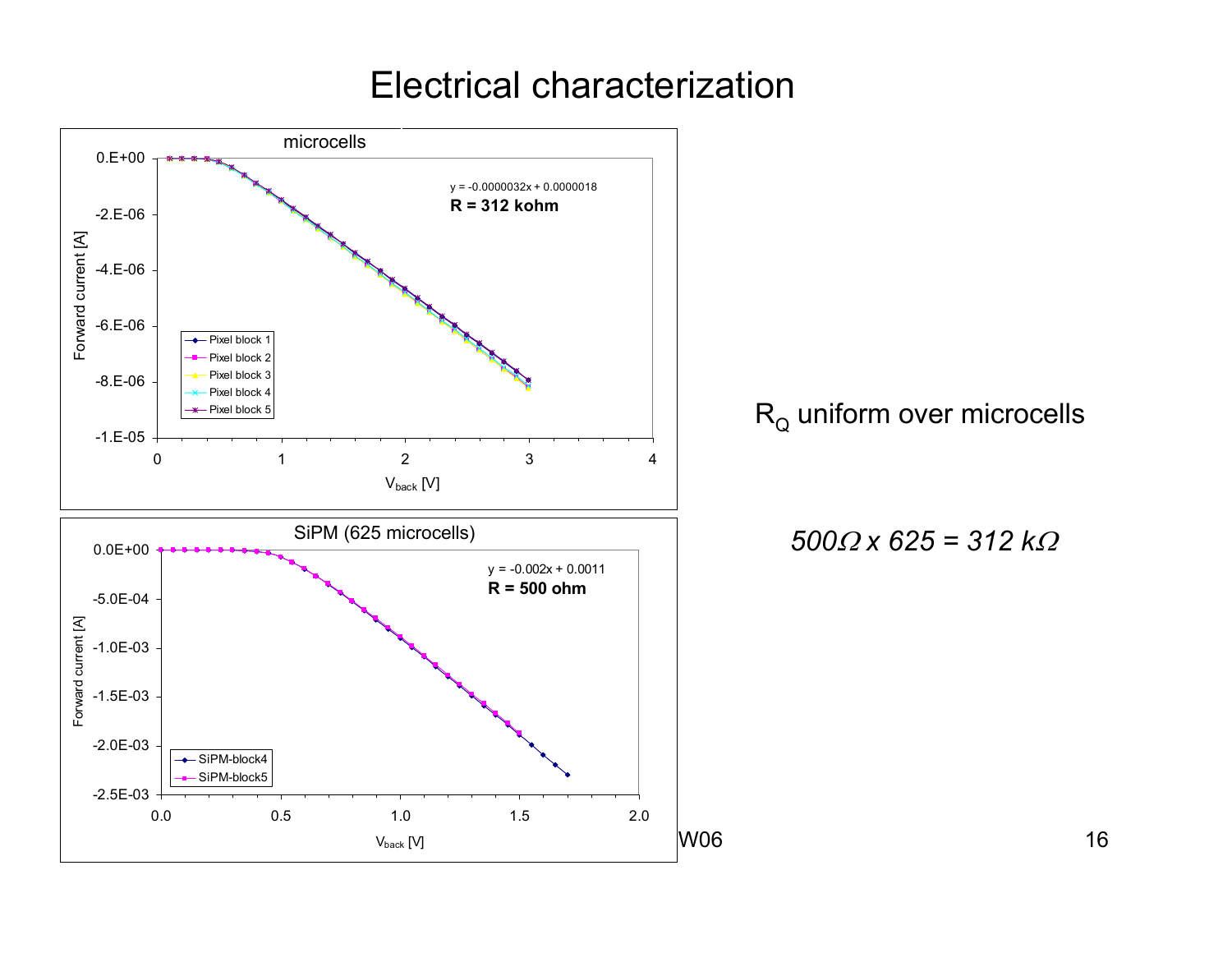Electrical characterization



 $\mathsf{R}_{\mathsf{Q}}$  uniform over microcells

$$
500\Omega \times 625 = 312 \, k\Omega
$$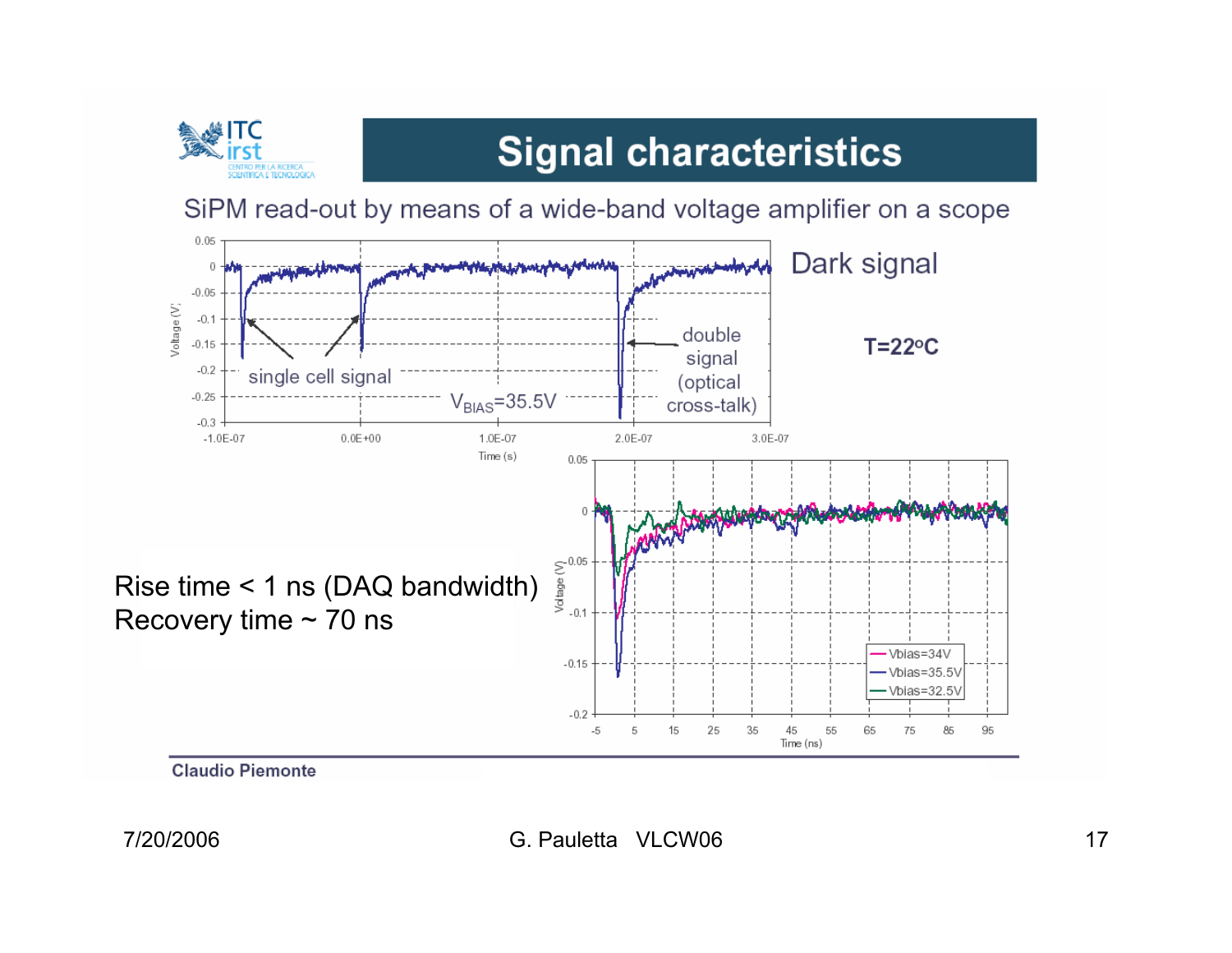

# **Signal characteristics**

SiPM read-out by means of a wide-band voltage amplifier on a scope



**Claudio Piemonte**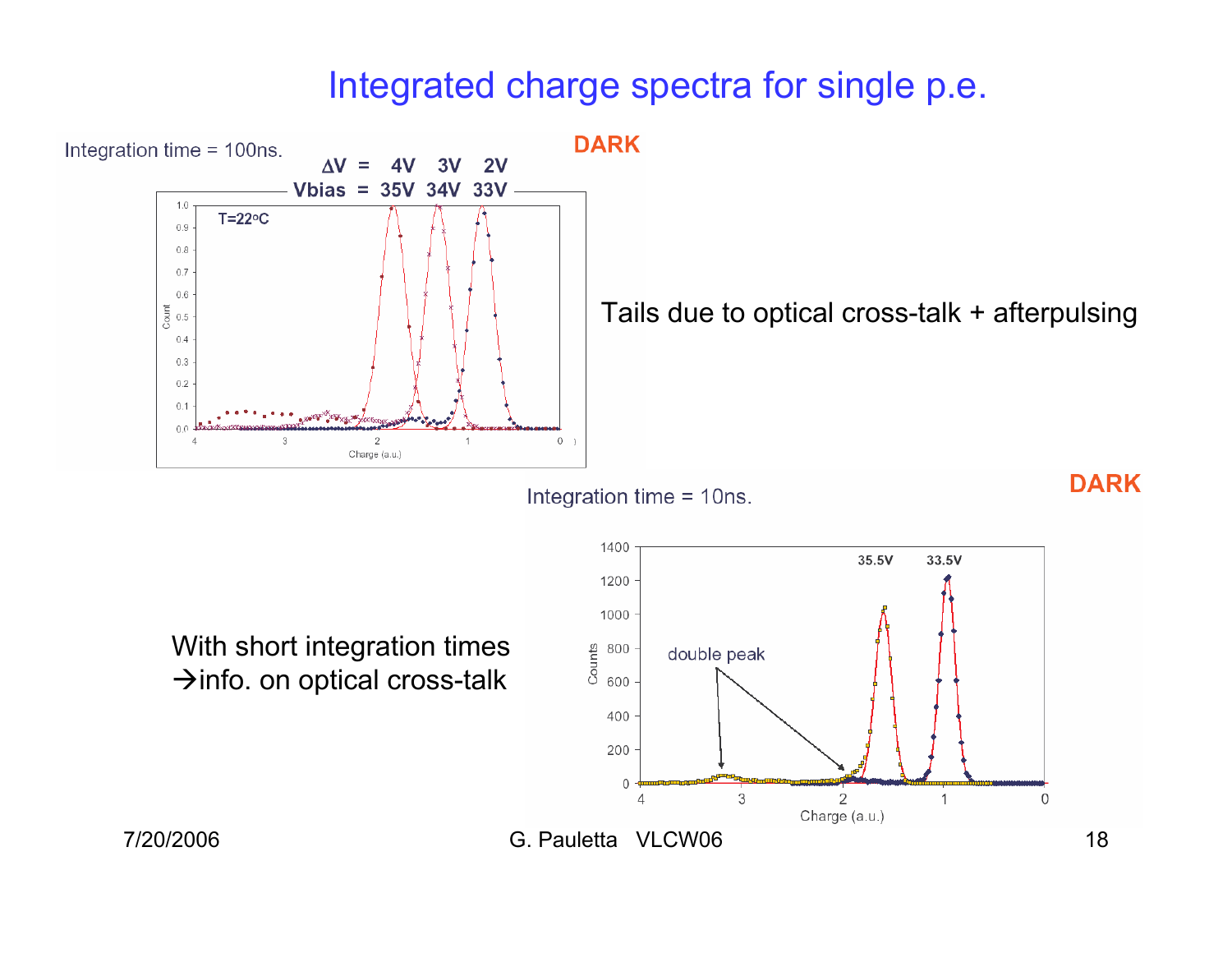### Integrated charge spectra for single p.e.



Integration time = 10ns.

With short integration times  $\rightarrow$  info. on optical cross-talk

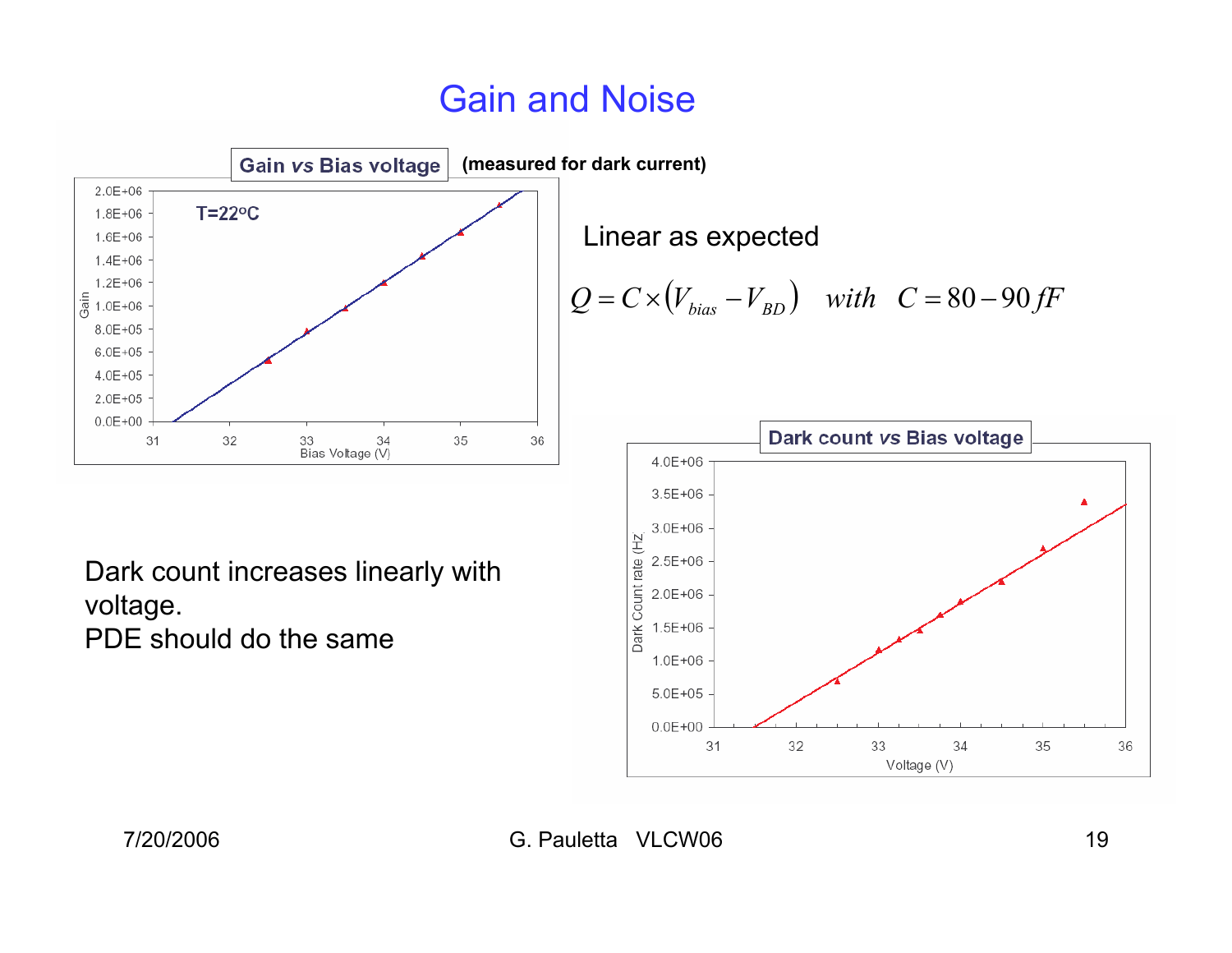## Gain and Noise



Linear as expected  

$$
Q = C \times (V_{bias} - V_{BD}) \quad with \quad C = 80 - 90 \, \text{fF}
$$



Dark count increases linearly with voltage. PDE should do the same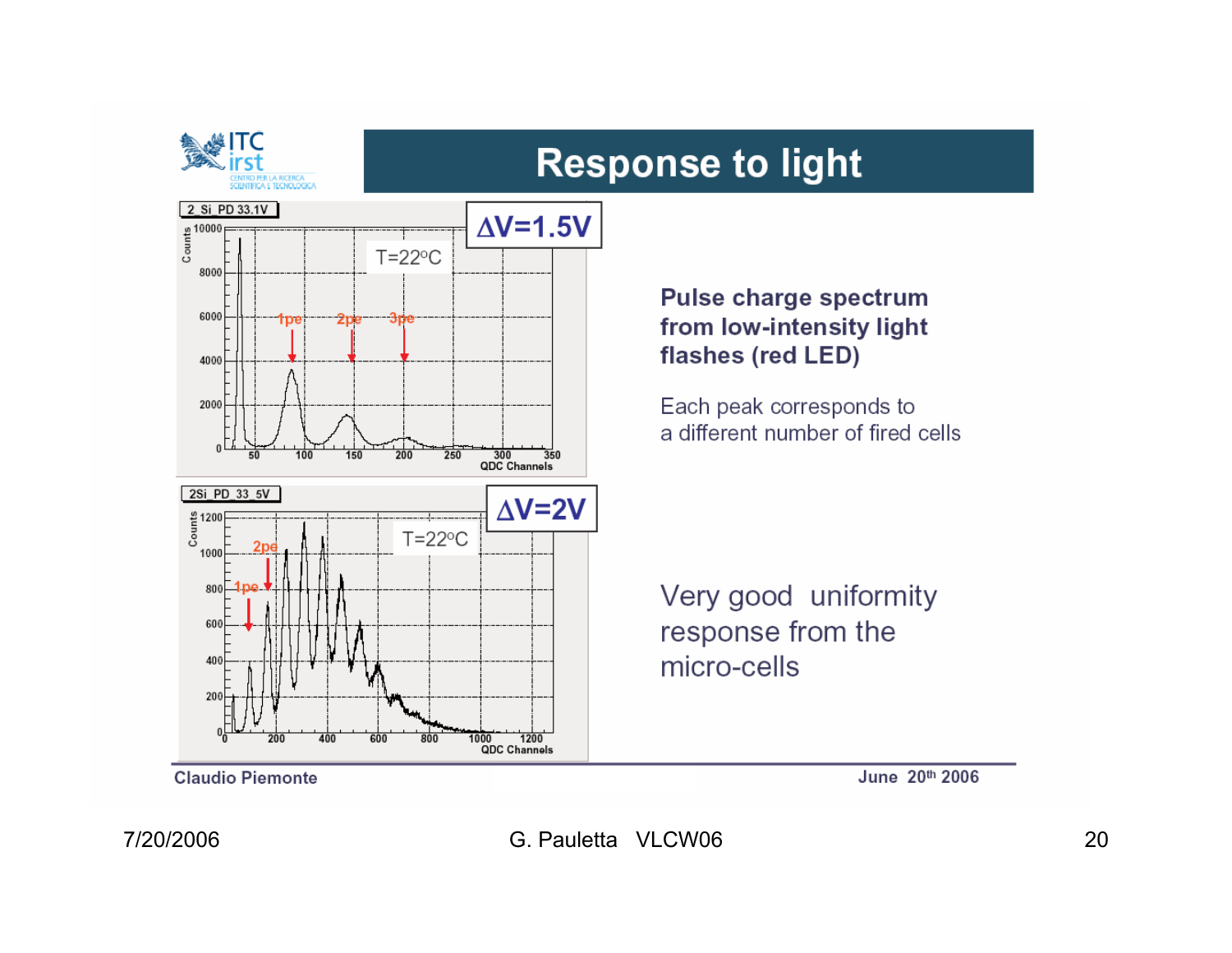



**Claudio Piemonte** 

entro per la ricerca<br>Científica e tecnologica

**Pulse charge spectrum** from low-intensity light flashes (red LED)

Each peak corresponds to a different number of fired cells

Very good uniformity response from the micro-cells

June 20th 2006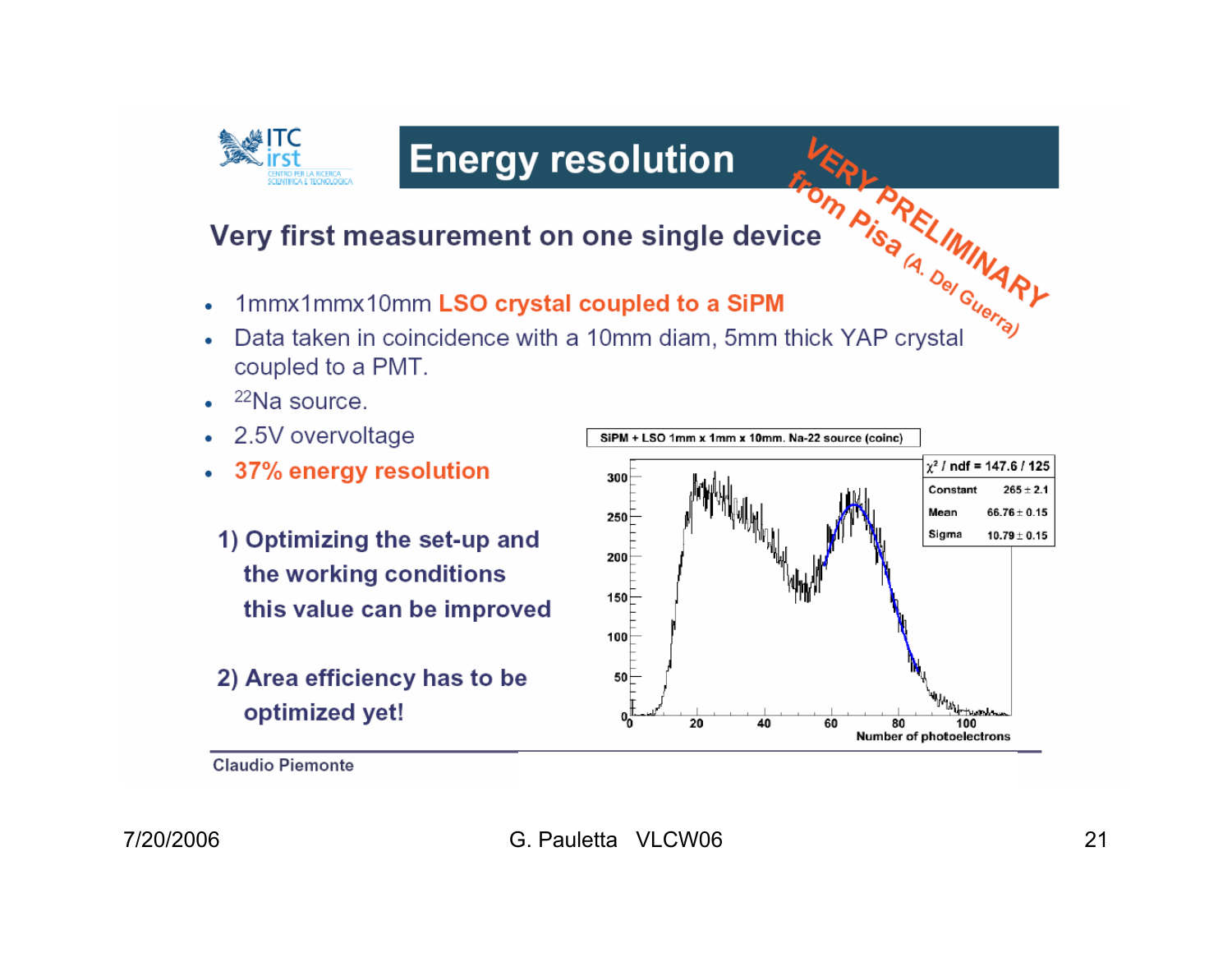

## **Energy resolution**

#### Very first measurement on one single device

- 1mmx1mmx10mm LSO crystal coupled to a SiPM
- **ERLARELIMINARY**<br>Centre As ALIMINARY Data taken in coincidence with a 10mm diam, 5mm thick YAP crystal coupled to a PMT.
- $22$ Na source.
- 2.5V overvoltage
- 37% energy resolution
- 1) Optimizing the set-up and the working conditions this value can be improved
- 2) Area efficiency has to be optimized yet!



**Claudio Piemonte**